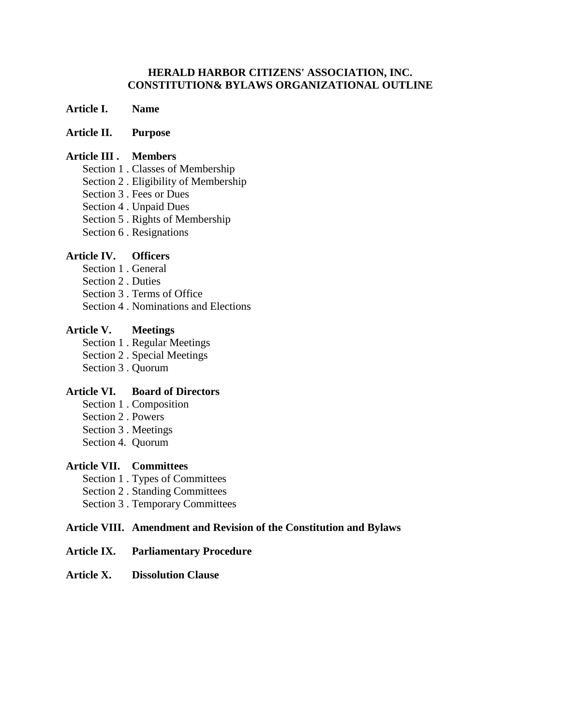### **HERALD HARBOR CITIZENS' ASSOCIATION, INC. CONSTITUTION& BYLAWS ORGANIZATIONAL OUTLINE**

### **Article I. Name**

### **Article II. Purpose**

#### **Article III . Members**

- Section 1 . Classes of Membership
- Section 2 . Eligibility of Membership
- Section 3 . Fees or Dues
- Section 4 . Unpaid Dues
- Section 5 . Rights of Membership
- Section 6 . Resignations

# **Article IV. Officers**

- Section 1 . General
- Section 2 . Duties
- Section 3 . Terms of Office
- Section 4 . Nominations and Elections

## **Article V. Meetings**

- Section 1 . Regular Meetings
- Section 2 . Special Meetings
- Section 3 . Quorum

# **Article VI. Board of Directors**

- Section 1 . Composition
- Section 2 . Powers
- Section 3 . Meetings
- Section 4. Quorum

## **Article VII. Committees**

- Section 1 . Types of Committees
- Section 2 . Standing Committees
- Section 3 . Temporary Committees

## **Article VIII. Amendment and Revision of the Constitution and Bylaws**

#### **Article IX. Parliamentary Procedure**

#### **Article X. Dissolution Clause**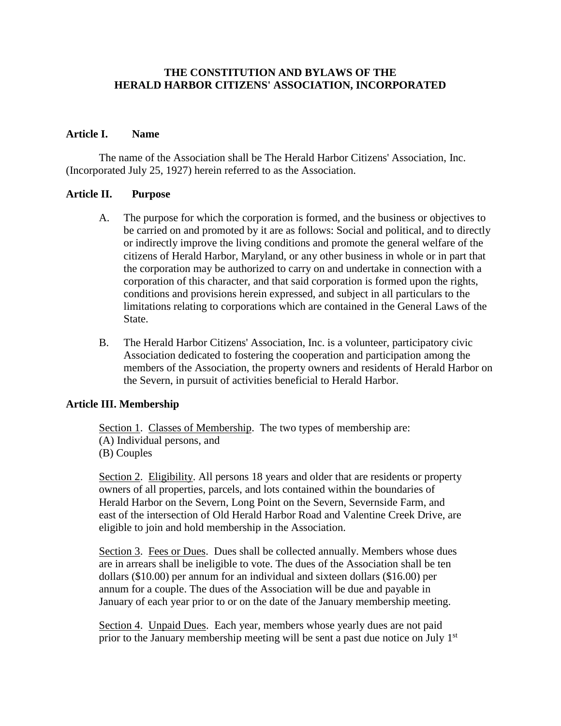# **THE CONSTITUTION AND BYLAWS OF THE HERALD HARBOR CITIZENS' ASSOCIATION, INCORPORATED**

#### **Article I. Name**

The name of the Association shall be The Herald Harbor Citizens' Association, Inc. (Incorporated July 25, 1927) herein referred to as the Association.

#### **Article II. Purpose**

- A. The purpose for which the corporation is formed, and the business or objectives to be carried on and promoted by it are as follows: Social and political, and to directly or indirectly improve the living conditions and promote the general welfare of the citizens of Herald Harbor, Maryland, or any other business in whole or in part that the corporation may be authorized to carry on and undertake in connection with a corporation of this character, and that said corporation is formed upon the rights, conditions and provisions herein expressed, and subject in all particulars to the limitations relating to corporations which are contained in the General Laws of the State.
- B. The Herald Harbor Citizens' Association, Inc. is a volunteer, participatory civic Association dedicated to fostering the cooperation and participation among the members of the Association, the property owners and residents of Herald Harbor on the Severn, in pursuit of activities beneficial to Herald Harbor.

## **Article III. Membership**

Section 1. Classes of Membership. The two types of membership are: (A) Individual persons, and (B) Couples

Section 2. Eligibility. All persons 18 years and older that are residents or property owners of all properties, parcels, and lots contained within the boundaries of Herald Harbor on the Severn, Long Point on the Severn, Severnside Farm, and east of the intersection of Old Herald Harbor Road and Valentine Creek Drive, are eligible to join and hold membership in the Association.

Section 3. Fees or Dues. Dues shall be collected annually. Members whose dues are in arrears shall be ineligible to vote. The dues of the Association shall be ten dollars (\$10.00) per annum for an individual and sixteen dollars (\$16.00) per annum for a couple. The dues of the Association will be due and payable in January of each year prior to or on the date of the January membership meeting.

Section 4. Unpaid Dues. Each year, members whose yearly dues are not paid prior to the January membership meeting will be sent a past due notice on July 1<sup>st</sup>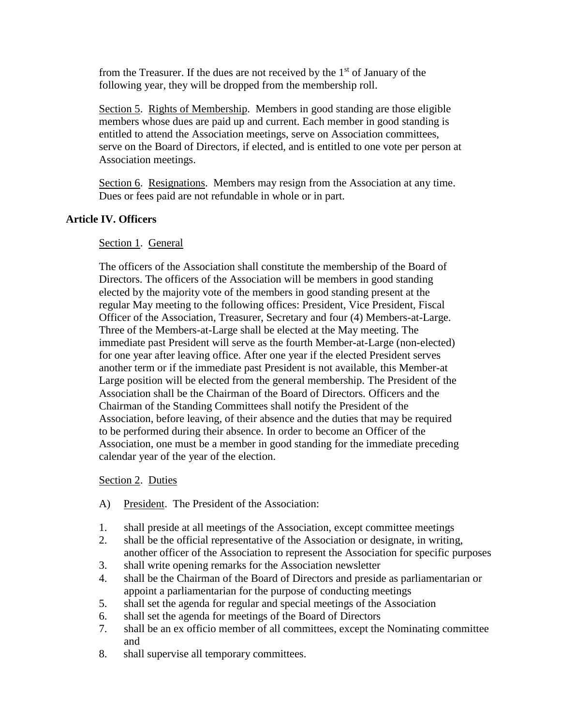from the Treasurer. If the dues are not received by the  $1<sup>st</sup>$  of January of the following year, they will be dropped from the membership roll.

Section 5. Rights of Membership. Members in good standing are those eligible members whose dues are paid up and current. Each member in good standing is entitled to attend the Association meetings, serve on Association committees, serve on the Board of Directors, if elected, and is entitled to one vote per person at Association meetings.

Section 6. Resignations. Members may resign from the Association at any time. Dues or fees paid are not refundable in whole or in part.

# **Article IV. Officers**

## Section 1. General

The officers of the Association shall constitute the membership of the Board of Directors. The officers of the Association will be members in good standing elected by the majority vote of the members in good standing present at the regular May meeting to the following offices: President, Vice President, Fiscal Officer of the Association, Treasurer, Secretary and four (4) Members-at-Large. Three of the Members-at-Large shall be elected at the May meeting. The immediate past President will serve as the fourth Member-at-Large (non-elected) for one year after leaving office. After one year if the elected President serves another term or if the immediate past President is not available, this Member-at Large position will be elected from the general membership. The President of the Association shall be the Chairman of the Board of Directors. Officers and the Chairman of the Standing Committees shall notify the President of the Association, before leaving, of their absence and the duties that may be required to be performed during their absence. In order to become an Officer of the Association, one must be a member in good standing for the immediate preceding calendar year of the year of the election.

## Section 2. Duties

- A) President. The President of the Association:
- 1. shall preside at all meetings of the Association, except committee meetings
- 2. shall be the official representative of the Association or designate, in writing, another officer of the Association to represent the Association for specific purposes
- 3. shall write opening remarks for the Association newsletter
- 4. shall be the Chairman of the Board of Directors and preside as parliamentarian or appoint a parliamentarian for the purpose of conducting meetings
- 5. shall set the agenda for regular and special meetings of the Association
- 6. shall set the agenda for meetings of the Board of Directors
- 7. shall be an ex officio member of all committees, except the Nominating committee and
- 8. shall supervise all temporary committees.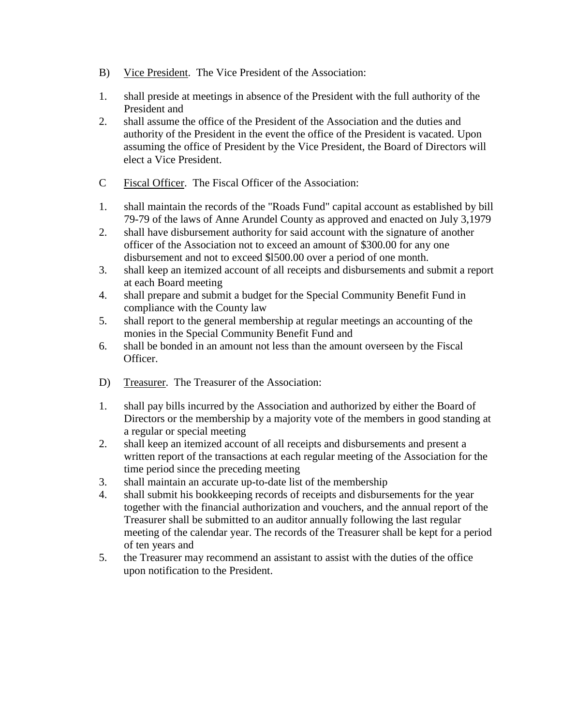- B) Vice President. The Vice President of the Association:
- 1. shall preside at meetings in absence of the President with the full authority of the President and
- 2. shall assume the office of the President of the Association and the duties and authority of the President in the event the office of the President is vacated. Upon assuming the office of President by the Vice President, the Board of Directors will elect a Vice President.
- C Fiscal Officer. The Fiscal Officer of the Association:
- 1. shall maintain the records of the "Roads Fund" capital account as established by bill 79-79 of the laws of Anne Arundel County as approved and enacted on July 3,1979
- 2. shall have disbursement authority for said account with the signature of another officer of the Association not to exceed an amount of \$300.00 for any one disbursement and not to exceed \$l500.00 over a period of one month.
- 3. shall keep an itemized account of all receipts and disbursements and submit a report at each Board meeting
- 4. shall prepare and submit a budget for the Special Community Benefit Fund in compliance with the County law
- 5. shall report to the general membership at regular meetings an accounting of the monies in the Special Community Benefit Fund and
- 6. shall be bonded in an amount not less than the amount overseen by the Fiscal Officer.
- D) Treasurer. The Treasurer of the Association:
- 1. shall pay bills incurred by the Association and authorized by either the Board of Directors or the membership by a majority vote of the members in good standing at a regular or special meeting
- 2. shall keep an itemized account of all receipts and disbursements and present a written report of the transactions at each regular meeting of the Association for the time period since the preceding meeting
- 3. shall maintain an accurate up-to-date list of the membership
- 4. shall submit his bookkeeping records of receipts and disbursements for the year together with the financial authorization and vouchers, and the annual report of the Treasurer shall be submitted to an auditor annually following the last regular meeting of the calendar year. The records of the Treasurer shall be kept for a period of ten years and
- 5. the Treasurer may recommend an assistant to assist with the duties of the office upon notification to the President.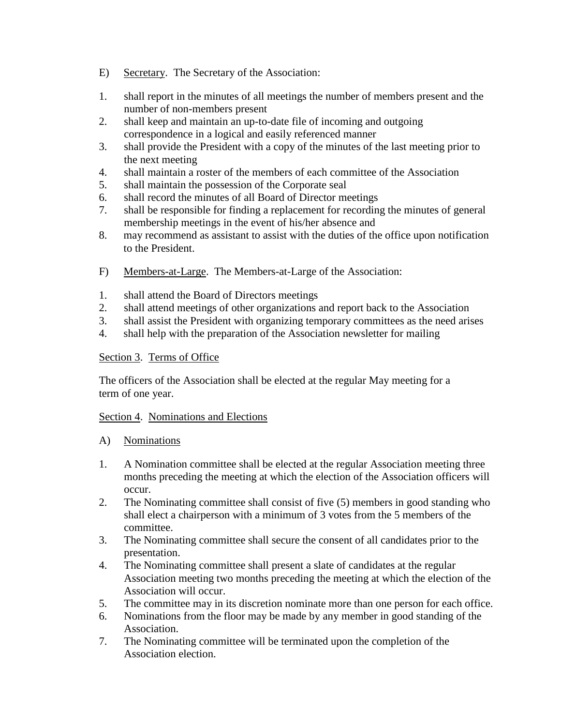- E) Secretary. The Secretary of the Association:
- 1. shall report in the minutes of all meetings the number of members present and the number of non-members present
- 2. shall keep and maintain an up-to-date file of incoming and outgoing correspondence in a logical and easily referenced manner
- 3. shall provide the President with a copy of the minutes of the last meeting prior to the next meeting
- 4. shall maintain a roster of the members of each committee of the Association
- 5. shall maintain the possession of the Corporate seal
- 6. shall record the minutes of all Board of Director meetings
- 7. shall be responsible for finding a replacement for recording the minutes of general membership meetings in the event of his/her absence and
- 8. may recommend as assistant to assist with the duties of the office upon notification to the President.
- F) Members-at-Large. The Members-at-Large of the Association:
- 1. shall attend the Board of Directors meetings
- 2. shall attend meetings of other organizations and report back to the Association
- 3. shall assist the President with organizing temporary committees as the need arises
- 4. shall help with the preparation of the Association newsletter for mailing

## Section 3. Terms of Office

The officers of the Association shall be elected at the regular May meeting for a term of one year.

## Section 4. Nominations and Elections

- A) Nominations
- 1. A Nomination committee shall be elected at the regular Association meeting three months preceding the meeting at which the election of the Association officers will occur.
- 2. The Nominating committee shall consist of five (5) members in good standing who shall elect a chairperson with a minimum of 3 votes from the 5 members of the committee.
- 3. The Nominating committee shall secure the consent of all candidates prior to the presentation.
- 4. The Nominating committee shall present a slate of candidates at the regular Association meeting two months preceding the meeting at which the election of the Association will occur.
- 5. The committee may in its discretion nominate more than one person for each office.
- 6. Nominations from the floor may be made by any member in good standing of the Association.
- 7. The Nominating committee will be terminated upon the completion of the Association election.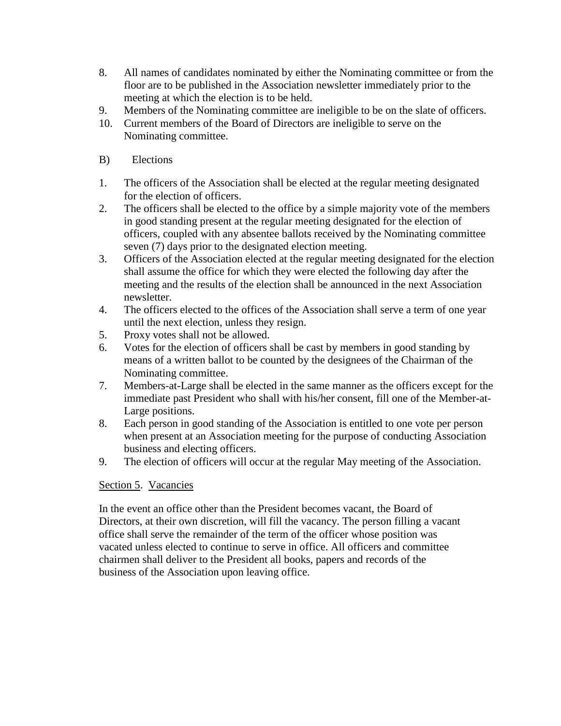- 8. All names of candidates nominated by either the Nominating committee or from the floor are to be published in the Association newsletter immediately prior to the meeting at which the election is to be held.
- 9. Members of the Nominating committee are ineligible to be on the slate of officers.
- 10. Current members of the Board of Directors are ineligible to serve on the Nominating committee.
- B) Elections
- 1. The officers of the Association shall be elected at the regular meeting designated for the election of officers.
- 2. The officers shall be elected to the office by a simple majority vote of the members in good standing present at the regular meeting designated for the election of officers, coupled with any absentee ballots received by the Nominating committee seven (7) days prior to the designated election meeting.
- 3. Officers of the Association elected at the regular meeting designated for the election shall assume the office for which they were elected the following day after the meeting and the results of the election shall be announced in the next Association newsletter.
- 4. The officers elected to the offices of the Association shall serve a term of one year until the next election, unless they resign.
- 5. Proxy votes shall not be allowed.
- 6. Votes for the election of officers shall be cast by members in good standing by means of a written ballot to be counted by the designees of the Chairman of the Nominating committee.
- 7. Members-at-Large shall be elected in the same manner as the officers except for the immediate past President who shall with his/her consent, fill one of the Member-at-Large positions.
- 8. Each person in good standing of the Association is entitled to one vote per person when present at an Association meeting for the purpose of conducting Association business and electing officers.
- 9. The election of officers will occur at the regular May meeting of the Association.

# Section 5. Vacancies

In the event an office other than the President becomes vacant, the Board of Directors, at their own discretion, will fill the vacancy. The person filling a vacant office shall serve the remainder of the term of the officer whose position was vacated unless elected to continue to serve in office. All officers and committee chairmen shall deliver to the President all books, papers and records of the business of the Association upon leaving office.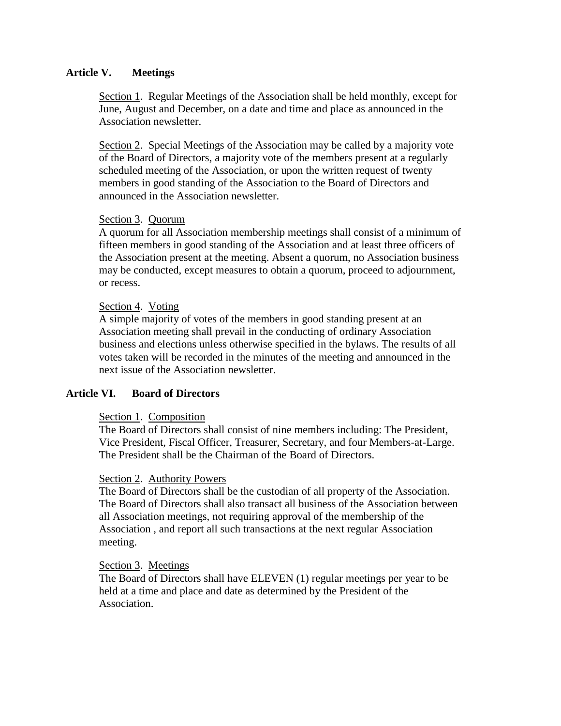## **Article V. Meetings**

Section 1. Regular Meetings of the Association shall be held monthly, except for June, August and December, on a date and time and place as announced in the Association newsletter.

Section 2. Special Meetings of the Association may be called by a majority vote of the Board of Directors, a majority vote of the members present at a regularly scheduled meeting of the Association, or upon the written request of twenty members in good standing of the Association to the Board of Directors and announced in the Association newsletter.

#### Section 3. Quorum

A quorum for all Association membership meetings shall consist of a minimum of fifteen members in good standing of the Association and at least three officers of the Association present at the meeting. Absent a quorum, no Association business may be conducted, except measures to obtain a quorum, proceed to adjournment, or recess.

#### Section 4. Voting

A simple majority of votes of the members in good standing present at an Association meeting shall prevail in the conducting of ordinary Association business and elections unless otherwise specified in the bylaws. The results of all votes taken will be recorded in the minutes of the meeting and announced in the next issue of the Association newsletter.

## **Article VI. Board of Directors**

#### Section 1. Composition

The Board of Directors shall consist of nine members including: The President, Vice President, Fiscal Officer, Treasurer, Secretary, and four Members-at-Large. The President shall be the Chairman of the Board of Directors.

#### Section 2. Authority Powers

The Board of Directors shall be the custodian of all property of the Association. The Board of Directors shall also transact all business of the Association between all Association meetings, not requiring approval of the membership of the Association , and report all such transactions at the next regular Association meeting.

#### Section 3. Meetings

The Board of Directors shall have ELEVEN (1) regular meetings per year to be held at a time and place and date as determined by the President of the Association.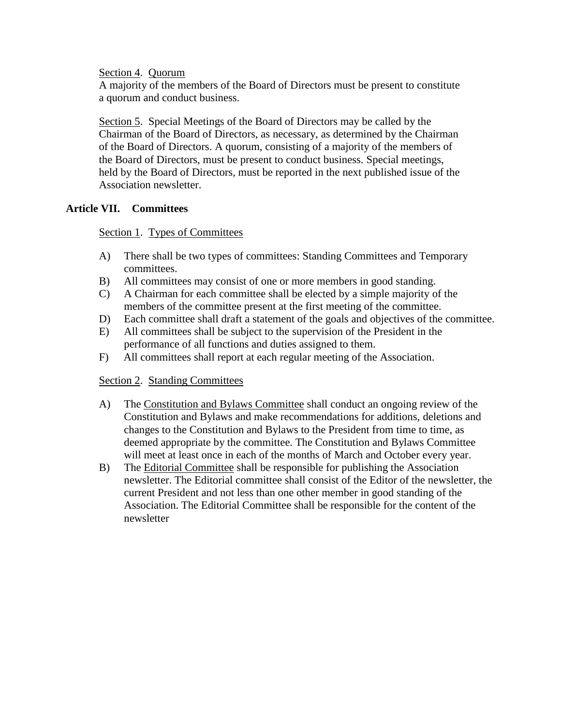Section 4. Quorum

A majority of the members of the Board of Directors must be present to constitute a quorum and conduct business.

Section 5. Special Meetings of the Board of Directors may be called by the Chairman of the Board of Directors, as necessary, as determined by the Chairman of the Board of Directors. A quorum, consisting of a majority of the members of the Board of Directors, must be present to conduct business. Special meetings, held by the Board of Directors, must be reported in the next published issue of the Association newsletter.

# **Article VII. Committees**

# Section 1. Types of Committees

- A) There shall be two types of committees: Standing Committees and Temporary committees.
- B) All committees may consist of one or more members in good standing.
- C) A Chairman for each committee shall be elected by a simple majority of the members of the committee present at the first meeting of the committee.
- D) Each committee shall draft a statement of the goals and objectives of the committee.
- E) All committees shall be subject to the supervision of the President in the performance of all functions and duties assigned to them.
- F) All committees shall report at each regular meeting of the Association.

# Section 2. Standing Committees

- A) The Constitution and Bylaws Committee shall conduct an ongoing review of the Constitution and Bylaws and make recommendations for additions, deletions and changes to the Constitution and Bylaws to the President from time to time, as deemed appropriate by the committee. The Constitution and Bylaws Committee will meet at least once in each of the months of March and October every year.
- B) The Editorial Committee shall be responsible for publishing the Association newsletter. The Editorial committee shall consist of the Editor of the newsletter, the current President and not less than one other member in good standing of the Association. The Editorial Committee shall be responsible for the content of the newsletter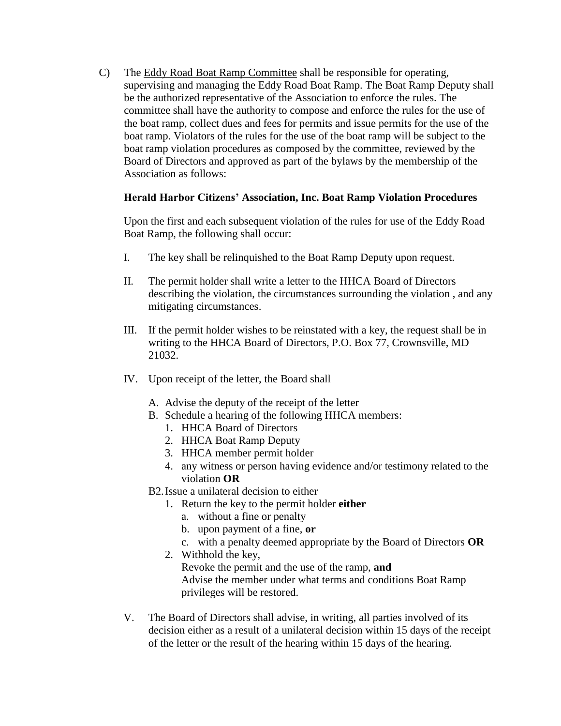C) The Eddy Road Boat Ramp Committee shall be responsible for operating, supervising and managing the Eddy Road Boat Ramp. The Boat Ramp Deputy shall be the authorized representative of the Association to enforce the rules. The committee shall have the authority to compose and enforce the rules for the use of the boat ramp, collect dues and fees for permits and issue permits for the use of the boat ramp. Violators of the rules for the use of the boat ramp will be subject to the boat ramp violation procedures as composed by the committee, reviewed by the Board of Directors and approved as part of the bylaws by the membership of the Association as follows:

# **Herald Harbor Citizens' Association, Inc. Boat Ramp Violation Procedures**

Upon the first and each subsequent violation of the rules for use of the Eddy Road Boat Ramp, the following shall occur:

- I. The key shall be relinquished to the Boat Ramp Deputy upon request.
- II. The permit holder shall write a letter to the HHCA Board of Directors describing the violation, the circumstances surrounding the violation , and any mitigating circumstances.
- III. If the permit holder wishes to be reinstated with a key, the request shall be in writing to the HHCA Board of Directors, P.O. Box 77, Crownsville, MD 21032.
- IV. Upon receipt of the letter, the Board shall
	- A. Advise the deputy of the receipt of the letter
	- B. Schedule a hearing of the following HHCA members:
		- 1. HHCA Board of Directors
		- 2. HHCA Boat Ramp Deputy
		- 3. HHCA member permit holder
		- 4. any witness or person having evidence and/or testimony related to the violation **OR**
	- B2.Issue a unilateral decision to either
		- 1. Return the key to the permit holder **either**
			- a. without a fine or penalty
			- b. upon payment of a fine, **or**
			- c. with a penalty deemed appropriate by the Board of Directors **OR**
		- 2. Withhold the key, Revoke the permit and the use of the ramp, **and** Advise the member under what terms and conditions Boat Ramp privileges will be restored.
- V. The Board of Directors shall advise, in writing, all parties involved of its decision either as a result of a unilateral decision within 15 days of the receipt of the letter or the result of the hearing within 15 days of the hearing.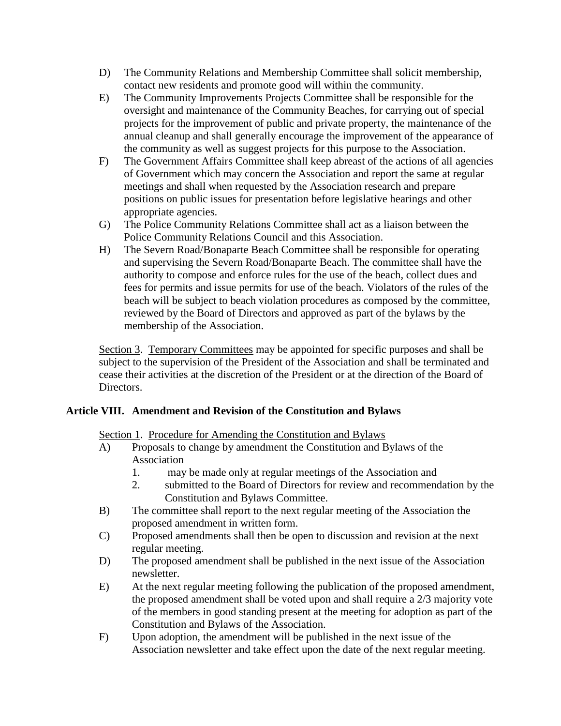- D) The Community Relations and Membership Committee shall solicit membership, contact new residents and promote good will within the community.
- E) The Community Improvements Projects Committee shall be responsible for the oversight and maintenance of the Community Beaches, for carrying out of special projects for the improvement of public and private property, the maintenance of the annual cleanup and shall generally encourage the improvement of the appearance of the community as well as suggest projects for this purpose to the Association.
- F) The Government Affairs Committee shall keep abreast of the actions of all agencies of Government which may concern the Association and report the same at regular meetings and shall when requested by the Association research and prepare positions on public issues for presentation before legislative hearings and other appropriate agencies.
- G) The Police Community Relations Committee shall act as a liaison between the Police Community Relations Council and this Association.
- H) The Severn Road/Bonaparte Beach Committee shall be responsible for operating and supervising the Severn Road/Bonaparte Beach. The committee shall have the authority to compose and enforce rules for the use of the beach, collect dues and fees for permits and issue permits for use of the beach. Violators of the rules of the beach will be subject to beach violation procedures as composed by the committee, reviewed by the Board of Directors and approved as part of the bylaws by the membership of the Association.

Section 3. Temporary Committees may be appointed for specific purposes and shall be subject to the supervision of the President of the Association and shall be terminated and cease their activities at the discretion of the President or at the direction of the Board of Directors.

# **Article VIII. Amendment and Revision of the Constitution and Bylaws**

Section 1. Procedure for Amending the Constitution and Bylaws

- A) Proposals to change by amendment the Constitution and Bylaws of the Association
	- 1. may be made only at regular meetings of the Association and
	- 2. submitted to the Board of Directors for review and recommendation by the Constitution and Bylaws Committee.
- B) The committee shall report to the next regular meeting of the Association the proposed amendment in written form.
- C) Proposed amendments shall then be open to discussion and revision at the next regular meeting.
- D) The proposed amendment shall be published in the next issue of the Association newsletter.
- E) At the next regular meeting following the publication of the proposed amendment, the proposed amendment shall be voted upon and shall require a 2/3 majority vote of the members in good standing present at the meeting for adoption as part of the Constitution and Bylaws of the Association.
- F) Upon adoption, the amendment will be published in the next issue of the Association newsletter and take effect upon the date of the next regular meeting.